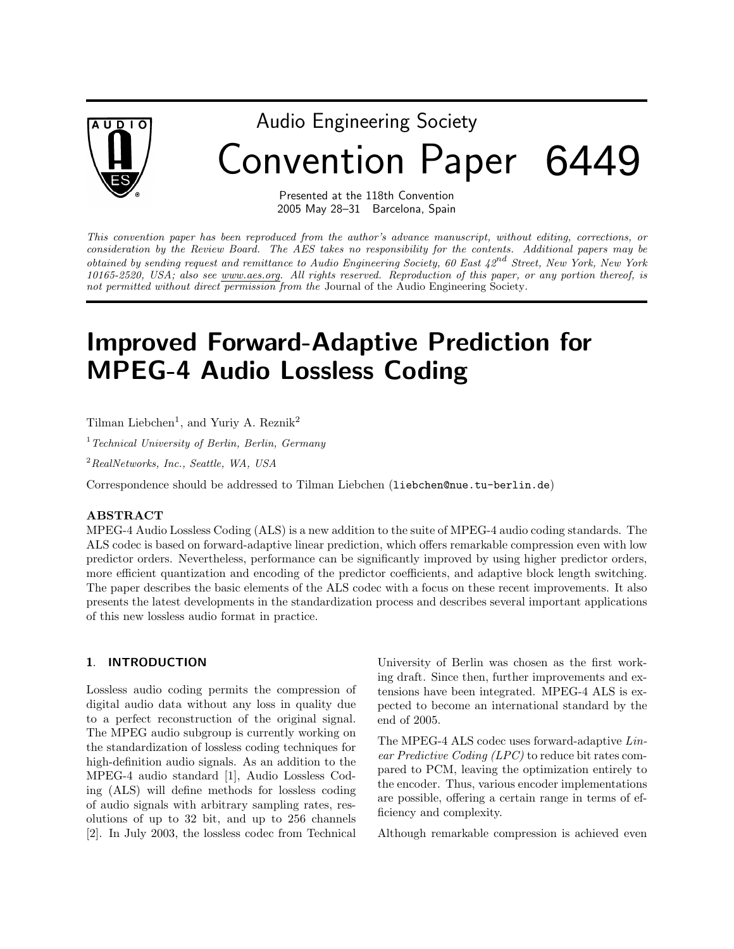

# Audio Engineering Society Convention Paper 6449

Presented at the 118th Convention 2005 May 28–31 Barcelona, Spain

This convention paper has been reproduced from the author's advance manuscript, without editing, corrections, or consideration by the Review Board. The AES takes no responsibility for the contents. Additional papers may be obtained by sending request and remittance to Audio Engineering Society, 60 East  $42^{nd}$  Street, New York, New York 10165-2520, USA; also see www.aes.org. All rights reserved. Reproduction of this paper, or any portion thereof, is not permitted without direct permission from the Journal of the Audio Engineering Society.

# Improved Forward-Adaptive Prediction for MPEG-4 Audio Lossless Coding

Tilman Liebchen<sup>1</sup>, and Yuriy A. Reznik<sup>2</sup>

 $<sup>1</sup> Technical University of Berlin, Berlin, Germany$ </sup>

 $^{2}$ RealNetworks, Inc., Seattle, WA, USA

Correspondence should be addressed to Tilman Liebchen (liebchen@nue.tu-berlin.de)

#### ABSTRACT

MPEG-4 Audio Lossless Coding (ALS) is a new addition to the suite of MPEG-4 audio coding standards. The ALS codec is based on forward-adaptive linear prediction, which offers remarkable compression even with low predictor orders. Nevertheless, performance can be significantly improved by using higher predictor orders, more efficient quantization and encoding of the predictor coefficients, and adaptive block length switching. The paper describes the basic elements of the ALS codec with a focus on these recent improvements. It also presents the latest developments in the standardization process and describes several important applications of this new lossless audio format in practice.

#### 1. INTRODUCTION

Lossless audio coding permits the compression of digital audio data without any loss in quality due to a perfect reconstruction of the original signal. The MPEG audio subgroup is currently working on the standardization of lossless coding techniques for high-definition audio signals. As an addition to the MPEG-4 audio standard [1], Audio Lossless Coding (ALS) will define methods for lossless coding of audio signals with arbitrary sampling rates, resolutions of up to 32 bit, and up to 256 channels [2]. In July 2003, the lossless codec from Technical

University of Berlin was chosen as the first working draft. Since then, further improvements and extensions have been integrated. MPEG-4 ALS is expected to become an international standard by the end of 2005.

The MPEG-4 ALS codec uses forward-adaptive Linear Predictive Coding (LPC) to reduce bit rates compared to PCM, leaving the optimization entirely to the encoder. Thus, various encoder implementations are possible, offering a certain range in terms of efficiency and complexity.

Although remarkable compression is achieved even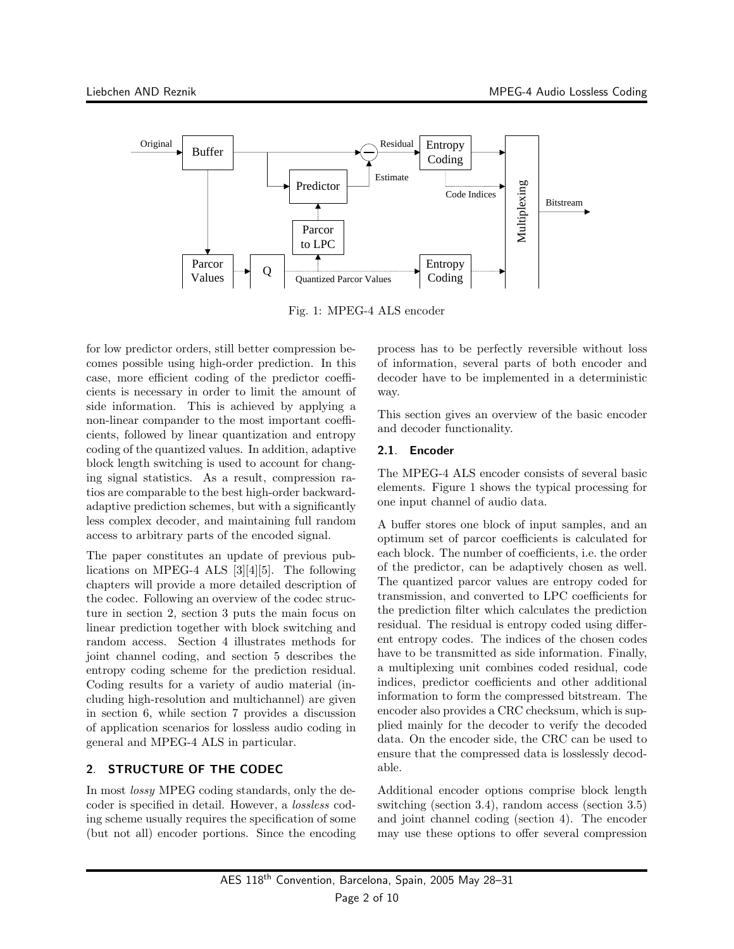

Fig. 1: MPEG-4 ALS encoder

for low predictor orders, still better compression becomes possible using high-order prediction. In this case, more efficient coding of the predictor coefficients is necessary in order to limit the amount of side information. This is achieved by applying a non-linear compander to the most important coefficients, followed by linear quantization and entropy coding of the quantized values. In addition, adaptive block length switching is used to account for changing signal statistics. As a result, compression ratios are comparable to the best high-order backwardadaptive prediction schemes, but with a significantly less complex decoder, and maintaining full random access to arbitrary parts of the encoded signal.

The paper constitutes an update of previous publications on MPEG-4 ALS [3][4][5]. The following chapters will provide a more detailed description of the codec. Following an overview of the codec structure in section 2, section 3 puts the main focus on linear prediction together with block switching and random access. Section 4 illustrates methods for joint channel coding, and section 5 describes the entropy coding scheme for the prediction residual. Coding results for a variety of audio material (including high-resolution and multichannel) are given in section 6, while section 7 provides a discussion of application scenarios for lossless audio coding in general and MPEG-4 ALS in particular.

# 2. STRUCTURE OF THE CODEC

In most lossy MPEG coding standards, only the decoder is specified in detail. However, a lossless coding scheme usually requires the specification of some (but not all) encoder portions. Since the encoding process has to be perfectly reversible without loss of information, several parts of both encoder and decoder have to be implemented in a deterministic way.

This section gives an overview of the basic encoder and decoder functionality.

# 2.1. Encoder

The MPEG-4 ALS encoder consists of several basic elements. Figure 1 shows the typical processing for one input channel of audio data.

A buffer stores one block of input samples, and an optimum set of parcor coefficients is calculated for each block. The number of coefficients, i.e. the order of the predictor, can be adaptively chosen as well. The quantized parcor values are entropy coded for transmission, and converted to LPC coefficients for the prediction filter which calculates the prediction residual. The residual is entropy coded using different entropy codes. The indices of the chosen codes have to be transmitted as side information. Finally, a multiplexing unit combines coded residual, code indices, predictor coefficients and other additional information to form the compressed bitstream. The encoder also provides a CRC checksum, which is supplied mainly for the decoder to verify the decoded data. On the encoder side, the CRC can be used to ensure that the compressed data is losslessly decodable.

Additional encoder options comprise block length switching (section 3.4), random access (section 3.5) and joint channel coding (section 4). The encoder may use these options to offer several compression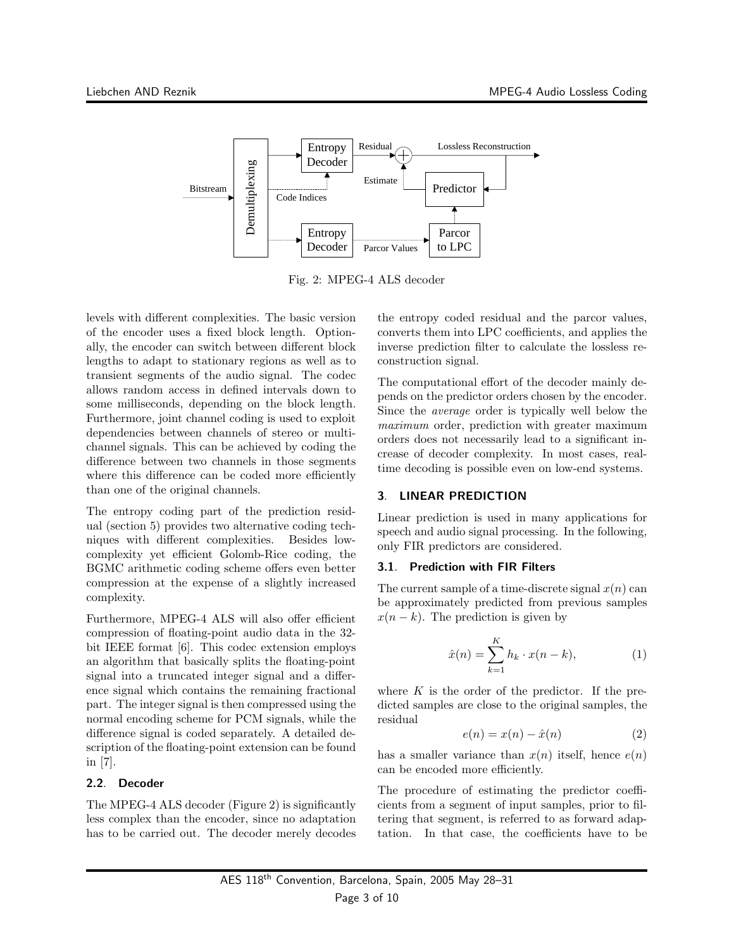

Fig. 2: MPEG-4 ALS decoder

levels with different complexities. The basic version of the encoder uses a fixed block length. Optionally, the encoder can switch between different block lengths to adapt to stationary regions as well as to transient segments of the audio signal. The codec allows random access in defined intervals down to some milliseconds, depending on the block length. Furthermore, joint channel coding is used to exploit dependencies between channels of stereo or multichannel signals. This can be achieved by coding the difference between two channels in those segments where this difference can be coded more efficiently than one of the original channels.

The entropy coding part of the prediction residual (section 5) provides two alternative coding techniques with different complexities. Besides lowcomplexity yet efficient Golomb-Rice coding, the BGMC arithmetic coding scheme offers even better compression at the expense of a slightly increased complexity.

Furthermore, MPEG-4 ALS will also offer efficient compression of floating-point audio data in the 32 bit IEEE format [6]. This codec extension employs an algorithm that basically splits the floating-point signal into a truncated integer signal and a difference signal which contains the remaining fractional part. The integer signal is then compressed using the normal encoding scheme for PCM signals, while the difference signal is coded separately. A detailed description of the floating-point extension can be found in [7].

# 2.2. Decoder

The MPEG-4 ALS decoder (Figure 2) is significantly less complex than the encoder, since no adaptation has to be carried out. The decoder merely decodes the entropy coded residual and the parcor values, converts them into LPC coefficients, and applies the inverse prediction filter to calculate the lossless reconstruction signal.

The computational effort of the decoder mainly depends on the predictor orders chosen by the encoder. Since the average order is typically well below the maximum order, prediction with greater maximum orders does not necessarily lead to a significant increase of decoder complexity. In most cases, realtime decoding is possible even on low-end systems.

# 3. LINEAR PREDICTION

Linear prediction is used in many applications for speech and audio signal processing. In the following, only FIR predictors are considered.

# 3.1. Prediction with FIR Filters

The current sample of a time-discrete signal  $x(n)$  can be approximately predicted from previous samples  $x(n - k)$ . The prediction is given by

$$
\hat{x}(n) = \sum_{k=1}^{K} h_k \cdot x(n-k), \qquad (1)
$$

where  $K$  is the order of the predictor. If the predicted samples are close to the original samples, the residual

$$
e(n) = x(n) - \hat{x}(n)
$$
 (2)

has a smaller variance than  $x(n)$  itself, hence  $e(n)$ can be encoded more efficiently.

The procedure of estimating the predictor coefficients from a segment of input samples, prior to filtering that segment, is referred to as forward adaptation. In that case, the coefficients have to be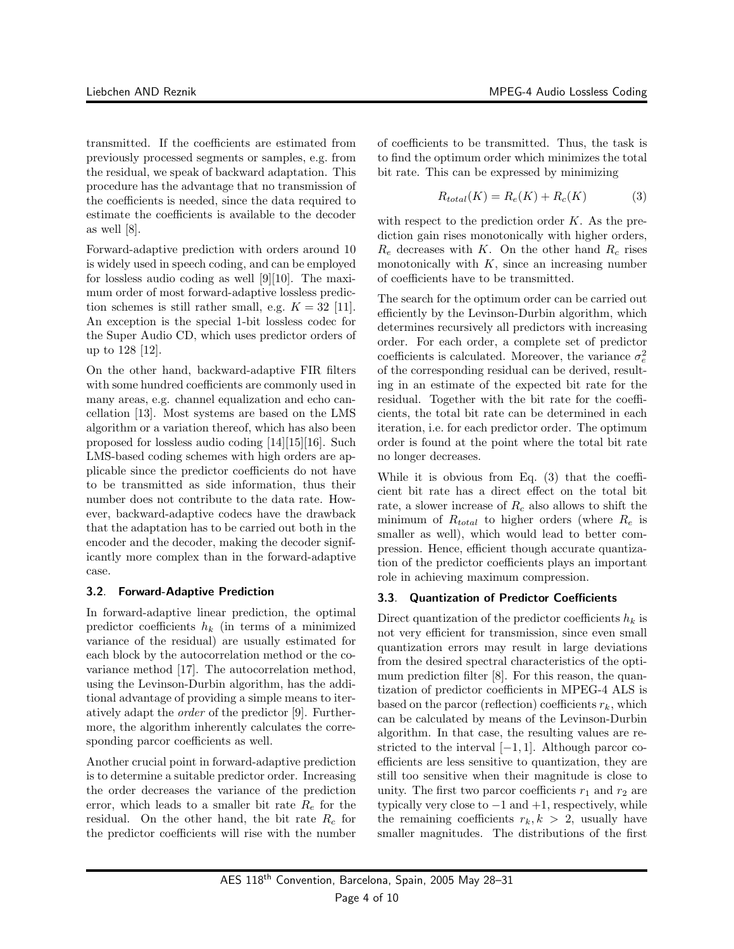transmitted. If the coefficients are estimated from previously processed segments or samples, e.g. from the residual, we speak of backward adaptation. This procedure has the advantage that no transmission of the coefficients is needed, since the data required to estimate the coefficients is available to the decoder as well [8].

Forward-adaptive prediction with orders around 10 is widely used in speech coding, and can be employed for lossless audio coding as well [9][10]. The maximum order of most forward-adaptive lossless prediction schemes is still rather small, e.g.  $K = 32$  [11]. An exception is the special 1-bit lossless codec for the Super Audio CD, which uses predictor orders of up to 128 [12].

On the other hand, backward-adaptive FIR filters with some hundred coefficients are commonly used in many areas, e.g. channel equalization and echo cancellation [13]. Most systems are based on the LMS algorithm or a variation thereof, which has also been proposed for lossless audio coding [14][15][16]. Such LMS-based coding schemes with high orders are applicable since the predictor coefficients do not have to be transmitted as side information, thus their number does not contribute to the data rate. However, backward-adaptive codecs have the drawback that the adaptation has to be carried out both in the encoder and the decoder, making the decoder significantly more complex than in the forward-adaptive case.

#### 3.2. Forward-Adaptive Prediction

In forward-adaptive linear prediction, the optimal predictor coefficients  $h_k$  (in terms of a minimized variance of the residual) are usually estimated for each block by the autocorrelation method or the covariance method [17]. The autocorrelation method, using the Levinson-Durbin algorithm, has the additional advantage of providing a simple means to iteratively adapt the order of the predictor [9]. Furthermore, the algorithm inherently calculates the corresponding parcor coefficients as well.

Another crucial point in forward-adaptive prediction is to determine a suitable predictor order. Increasing the order decreases the variance of the prediction error, which leads to a smaller bit rate  $R_e$  for the residual. On the other hand, the bit rate  $R_c$  for the predictor coefficients will rise with the number of coefficients to be transmitted. Thus, the task is to find the optimum order which minimizes the total bit rate. This can be expressed by minimizing

$$
R_{total}(K) = R_e(K) + R_c(K)
$$
 (3)

with respect to the prediction order  $K$ . As the prediction gain rises monotonically with higher orders,  $R_e$  decreases with K. On the other hand  $R_c$  rises monotonically with  $K$ , since an increasing number of coefficients have to be transmitted.

The search for the optimum order can be carried out efficiently by the Levinson-Durbin algorithm, which determines recursively all predictors with increasing order. For each order, a complete set of predictor coefficients is calculated. Moreover, the variance  $\sigma_e^2$ of the corresponding residual can be derived, resulting in an estimate of the expected bit rate for the residual. Together with the bit rate for the coefficients, the total bit rate can be determined in each iteration, i.e. for each predictor order. The optimum order is found at the point where the total bit rate no longer decreases.

While it is obvious from Eq. (3) that the coefficient bit rate has a direct effect on the total bit rate, a slower increase of  $R_c$  also allows to shift the minimum of  $R_{total}$  to higher orders (where  $R_e$  is smaller as well), which would lead to better compression. Hence, efficient though accurate quantization of the predictor coefficients plays an important role in achieving maximum compression.

# 3.3. Quantization of Predictor Coefficients

Direct quantization of the predictor coefficients  $h_k$  is not very efficient for transmission, since even small quantization errors may result in large deviations from the desired spectral characteristics of the optimum prediction filter [8]. For this reason, the quantization of predictor coefficients in MPEG-4 ALS is based on the parcor (reflection) coefficients  $r_k$ , which can be calculated by means of the Levinson-Durbin algorithm. In that case, the resulting values are restricted to the interval  $[-1, 1]$ . Although parcor coefficients are less sensitive to quantization, they are still too sensitive when their magnitude is close to unity. The first two parcor coefficients  $r_1$  and  $r_2$  are typically very close to  $-1$  and  $+1$ , respectively, while the remaining coefficients  $r_k, k > 2$ , usually have smaller magnitudes. The distributions of the first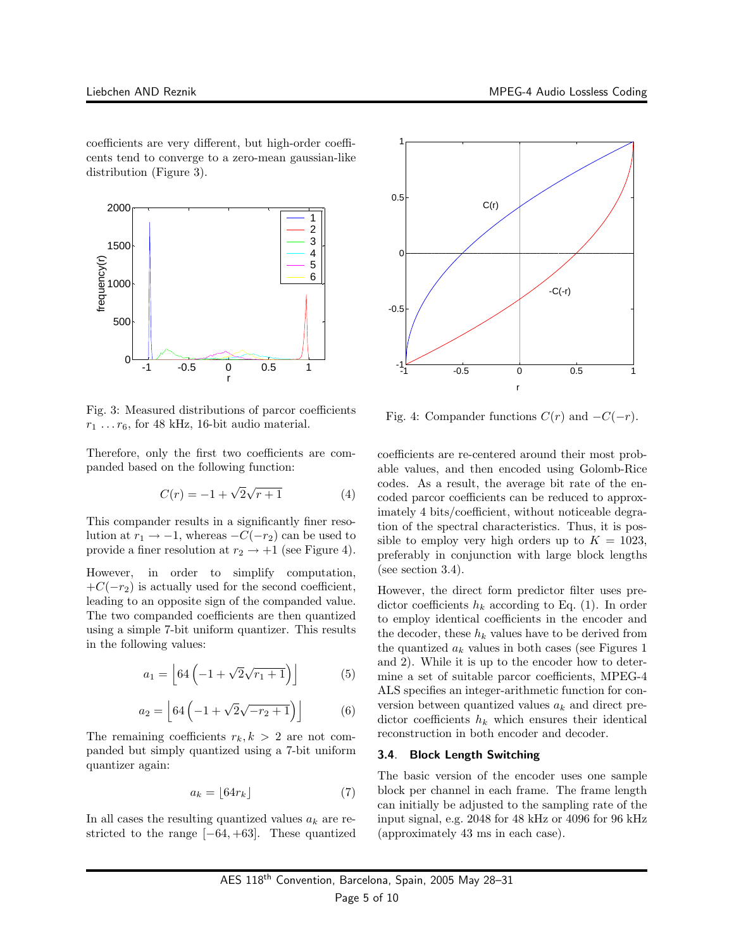coefficients are very different, but high-order coefficents tend to converge to a zero-mean gaussian-like distribution (Figure 3).



Fig. 3: Measured distributions of parcor coefficients  $r_1 \ldots r_6$ , for 48 kHz, 16-bit audio material.

Therefore, only the first two coefficients are companded based on the following function:

$$
C(r) = -1 + \sqrt{2}\sqrt{r+1}
$$
 (4)

This compander results in a significantly finer resolution at  $r_1 \rightarrow -1$ , whereas  $-C(-r_2)$  can be used to provide a finer resolution at  $r_2 \rightarrow +1$  (see Figure 4).

However, in order to simplify computation,  $+C(-r_2)$  is actually used for the second coefficient, leading to an opposite sign of the companded value. The two companded coefficients are then quantized using a simple 7-bit uniform quantizer. This results in the following values:

$$
a_1 = \left[ 64 \left( -1 + \sqrt{2} \sqrt{r_1 + 1} \right) \right] \tag{5}
$$

$$
a_2 = \left[ 64 \left( -1 + \sqrt{2} \sqrt{-r_2 + 1} \right) \right] \tag{6}
$$

The remaining coefficients  $r_k, k > 2$  are not companded but simply quantized using a 7-bit uniform quantizer again:

$$
a_k = \lfloor 64r_k \rfloor \tag{7}
$$

In all cases the resulting quantized values  $a_k$  are restricted to the range  $[-64, +63]$ . These quantized



Fig. 4: Compander functions  $C(r)$  and  $-C(-r)$ .

coefficients are re-centered around their most probable values, and then encoded using Golomb-Rice codes. As a result, the average bit rate of the encoded parcor coefficients can be reduced to approximately 4 bits/coefficient, without noticeable degration of the spectral characteristics. Thus, it is possible to employ very high orders up to  $K = 1023$ , preferably in conjunction with large block lengths (see section 3.4).

However, the direct form predictor filter uses predictor coefficients  $h_k$  according to Eq. (1). In order to employ identical coefficients in the encoder and the decoder, these  $h_k$  values have to be derived from the quantized  $a_k$  values in both cases (see Figures 1) and 2). While it is up to the encoder how to determine a set of suitable parcor coefficients, MPEG-4 ALS specifies an integer-arithmetic function for conversion between quantized values  $a_k$  and direct predictor coefficients  $h_k$  which ensures their identical reconstruction in both encoder and decoder.

#### 3.4. Block Length Switching

The basic version of the encoder uses one sample block per channel in each frame. The frame length can initially be adjusted to the sampling rate of the input signal, e.g. 2048 for 48 kHz or 4096 for 96 kHz (approximately 43 ms in each case).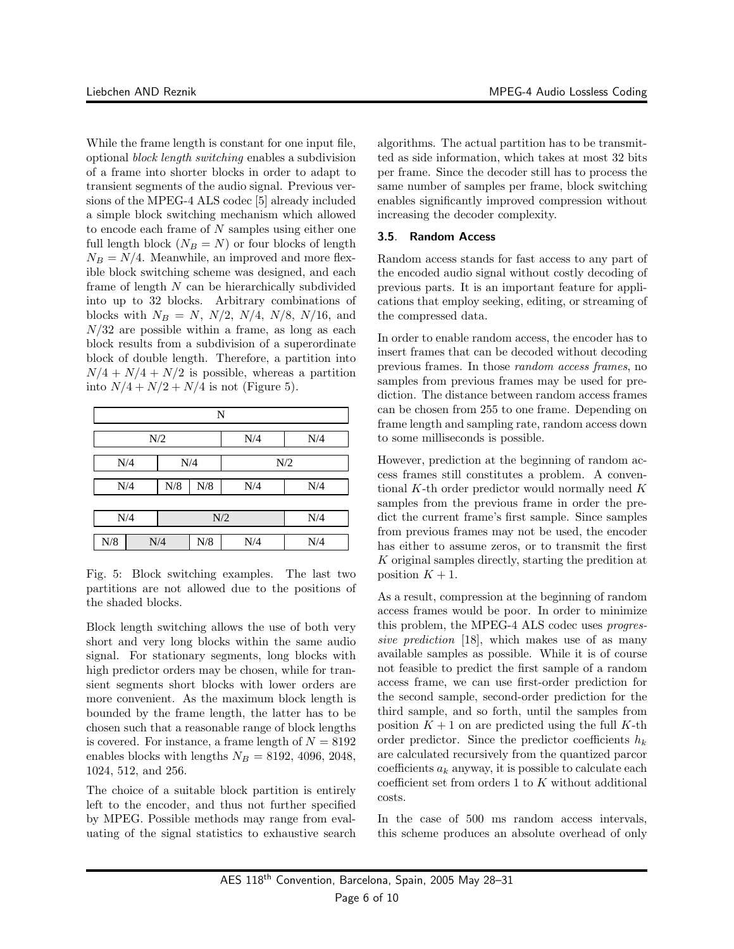While the frame length is constant for one input file, optional block length switching enables a subdivision of a frame into shorter blocks in order to adapt to transient segments of the audio signal. Previous versions of the MPEG-4 ALS codec [5] already included a simple block switching mechanism which allowed to encode each frame of  $N$  samples using either one full length block  $(N_B = N)$  or four blocks of length  $N_B = N/4$ . Meanwhile, an improved and more flexible block switching scheme was designed, and each frame of length N can be hierarchically subdivided into up to 32 blocks. Arbitrary combinations of blocks with  $N_B = N$ ,  $N/2$ ,  $N/4$ ,  $N/8$ ,  $N/16$ , and  $N/32$  are possible within a frame, as long as each block results from a subdivision of a superordinate block of double length. Therefore, a partition into  $N/4 + N/4 + N/2$  is possible, whereas a partition into  $N/4 + N/2 + N/4$  is not (Figure 5).

| N   |     |             |     |     |     |  |  |  |
|-----|-----|-------------|-----|-----|-----|--|--|--|
| N/2 |     |             |     | N/4 | N/4 |  |  |  |
| N/4 |     |             | N/4 | N/2 |     |  |  |  |
| N/4 |     | ${\bf N}/8$ | N/8 | N/4 | N/4 |  |  |  |
| N/4 |     | N/2         |     | N/4 |     |  |  |  |
| N/8 | N/4 |             | N/8 | N/4 | N/4 |  |  |  |

Fig. 5: Block switching examples. The last two partitions are not allowed due to the positions of the shaded blocks.

Block length switching allows the use of both very short and very long blocks within the same audio signal. For stationary segments, long blocks with high predictor orders may be chosen, while for transient segments short blocks with lower orders are more convenient. As the maximum block length is bounded by the frame length, the latter has to be chosen such that a reasonable range of block lengths is covered. For instance, a frame length of  $N = 8192$ enables blocks with lengths  $N_B = 8192, 4096, 2048,$ 1024, 512, and 256.

The choice of a suitable block partition is entirely left to the encoder, and thus not further specified by MPEG. Possible methods may range from evaluating of the signal statistics to exhaustive search

algorithms. The actual partition has to be transmitted as side information, which takes at most 32 bits per frame. Since the decoder still has to process the same number of samples per frame, block switching enables significantly improved compression without increasing the decoder complexity.

#### 3.5. Random Access

Random access stands for fast access to any part of the encoded audio signal without costly decoding of previous parts. It is an important feature for applications that employ seeking, editing, or streaming of the compressed data.

In order to enable random access, the encoder has to insert frames that can be decoded without decoding previous frames. In those random access frames, no samples from previous frames may be used for prediction. The distance between random access frames can be chosen from 255 to one frame. Depending on frame length and sampling rate, random access down to some milliseconds is possible.

However, prediction at the beginning of random access frames still constitutes a problem. A conventional  $K$ -th order predictor would normally need  $K$ samples from the previous frame in order the predict the current frame's first sample. Since samples from previous frames may not be used, the encoder has either to assume zeros, or to transmit the first K original samples directly, starting the predition at position  $K + 1$ .

As a result, compression at the beginning of random access frames would be poor. In order to minimize this problem, the MPEG-4 ALS codec uses progressive prediction [18], which makes use of as many available samples as possible. While it is of course not feasible to predict the first sample of a random access frame, we can use first-order prediction for the second sample, second-order prediction for the third sample, and so forth, until the samples from position  $K + 1$  on are predicted using the full K-th order predictor. Since the predictor coefficients  $h_k$ are calculated recursively from the quantized parcor coefficients  $a_k$  anyway, it is possible to calculate each coefficient set from orders  $1$  to  $K$  without additional costs.

In the case of 500 ms random access intervals, this scheme produces an absolute overhead of only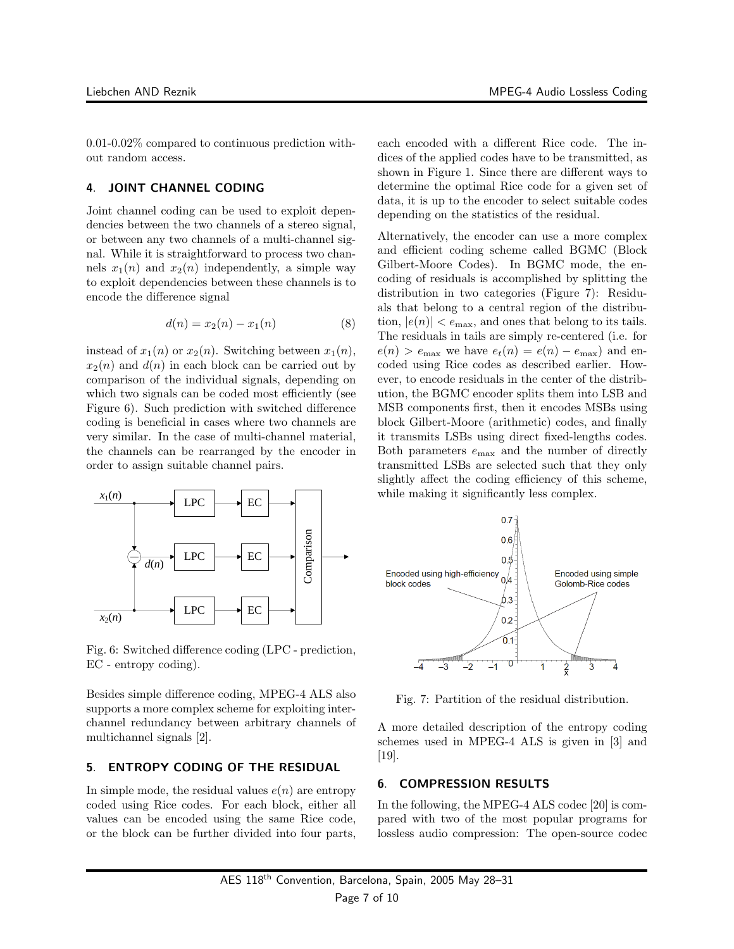0.01-0.02% compared to continuous prediction without random access.

# 4. JOINT CHANNEL CODING

Joint channel coding can be used to exploit dependencies between the two channels of a stereo signal, or between any two channels of a multi-channel signal. While it is straightforward to process two channels  $x_1(n)$  and  $x_2(n)$  independently, a simple way to exploit dependencies between these channels is to encode the difference signal

$$
d(n) = x_2(n) - x_1(n) \tag{8}
$$

instead of  $x_1(n)$  or  $x_2(n)$ . Switching between  $x_1(n)$ ,  $x_2(n)$  and  $d(n)$  in each block can be carried out by comparison of the individual signals, depending on which two signals can be coded most efficiently (see Figure 6). Such prediction with switched difference coding is beneficial in cases where two channels are very similar. In the case of multi-channel material, the channels can be rearranged by the encoder in order to assign suitable channel pairs.



Fig. 6: Switched difference coding (LPC - prediction, EC - entropy coding).

Besides simple difference coding, MPEG-4 ALS also supports a more complex scheme for exploiting interchannel redundancy between arbitrary channels of multichannel signals [2].

#### 5. ENTROPY CODING OF THE RESIDUAL

In simple mode, the residual values  $e(n)$  are entropy coded using Rice codes. For each block, either all values can be encoded using the same Rice code, or the block can be further divided into four parts,

each encoded with a different Rice code. The indices of the applied codes have to be transmitted, as shown in Figure 1. Since there are different ways to determine the optimal Rice code for a given set of data, it is up to the encoder to select suitable codes depending on the statistics of the residual.

Alternatively, the encoder can use a more complex and efficient coding scheme called BGMC (Block Gilbert-Moore Codes). In BGMC mode, the encoding of residuals is accomplished by splitting the distribution in two categories (Figure 7): Residuals that belong to a central region of the distribution,  $|e(n)| < e_{\text{max}}$ , and ones that belong to its tails. The residuals in tails are simply re-centered (i.e. for  $e(n) > e_{\text{max}}$  we have  $e_t(n) = e(n) - e_{\text{max}}$  and encoded using Rice codes as described earlier. However, to encode residuals in the center of the distribution, the BGMC encoder splits them into LSB and MSB components first, then it encodes MSBs using block Gilbert-Moore (arithmetic) codes, and finally it transmits LSBs using direct fixed-lengths codes. Both parameters  $e_{\text{max}}$  and the number of directly transmitted LSBs are selected such that they only slightly affect the coding efficiency of this scheme, while making it significantly less complex.



Fig. 7: Partition of the residual distribution.

A more detailed description of the entropy coding schemes used in MPEG-4 ALS is given in [3] and [19].

#### 6. COMPRESSION RESULTS

In the following, the MPEG-4 ALS codec [20] is compared with two of the most popular programs for lossless audio compression: The open-source codec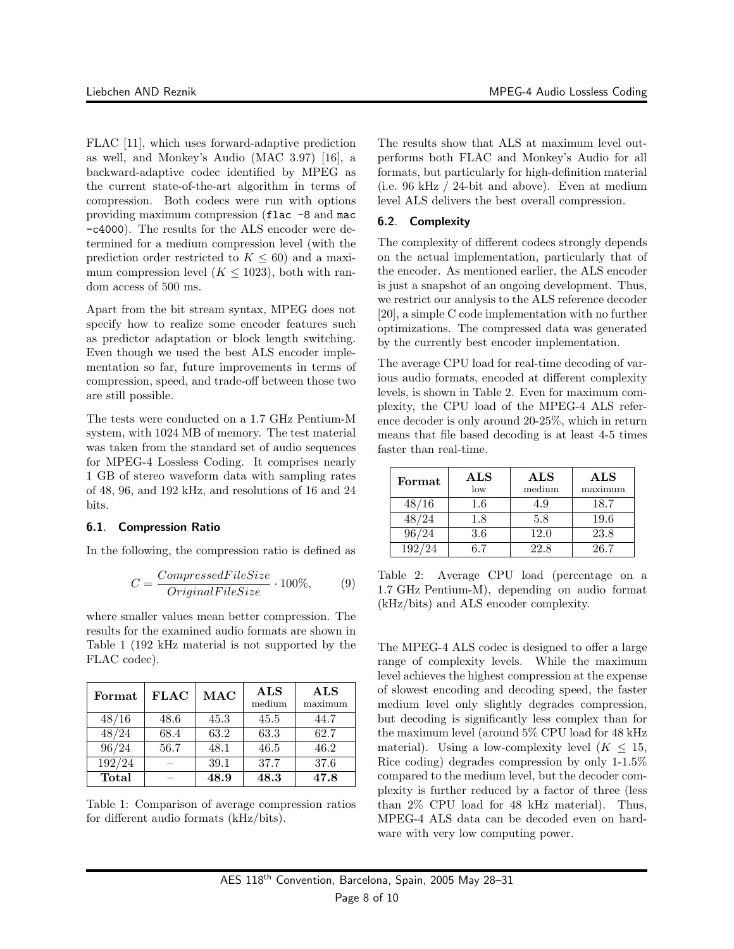FLAC [11], which uses forward-adaptive prediction as well, and Monkey's Audio (MAC 3.97) [16], a backward-adaptive codec identified by MPEG as the current state-of-the-art algorithm in terms of compression. Both codecs were run with options providing maximum compression (flac -8 and mac -c4000). The results for the ALS encoder were determined for a medium compression level (with the prediction order restricted to  $K \leq 60$ ) and a maximum compression level  $(K \leq 1023)$ , both with random access of 500 ms.

Apart from the bit stream syntax, MPEG does not specify how to realize some encoder features such as predictor adaptation or block length switching. Even though we used the best ALS encoder implementation so far, future improvements in terms of compression, speed, and trade-off between those two are still possible.

The tests were conducted on a 1.7 GHz Pentium-M system, with 1024 MB of memory. The test material was taken from the standard set of audio sequences for MPEG-4 Lossless Coding. It comprises nearly 1 GB of stereo waveform data with sampling rates of 48, 96, and 192 kHz, and resolutions of 16 and 24 bits.

# 6.1. Compression Ratio

In the following, the compression ratio is defined as

$$
C = \frac{CompressedFileSize}{OriginalFileSize} \cdot 100\%,\qquad(9)
$$

where smaller values mean better compression. The results for the examined audio formats are shown in Table 1 (192 kHz material is not supported by the FLAC codec).

| Format            | <b>FLAC</b> | $\rm{MAC}$ | <b>ALS</b><br>medium | <b>ALS</b><br>maximum |
|-------------------|-------------|------------|----------------------|-----------------------|
| 48/16             | 48.6        | 45.3       | 45.5                 | 44.7                  |
| 48/24             | 68.4        | 63.2       | 63.3                 | 62.7                  |
| $96\overline{24}$ | 56.7        | 48.1       | 46.5                 | 46.2                  |
| 192/24            |             | 39.1       | 37.7                 | 37.6                  |
| Total             |             | 48.9       | 48.3                 | 47.8                  |

Table 1: Comparison of average compression ratios for different audio formats (kHz/bits).

The results show that ALS at maximum level outperforms both FLAC and Monkey's Audio for all formats, but particularly for high-definition material (i.e. 96 kHz / 24-bit and above). Even at medium level ALS delivers the best overall compression.

# 6.2. Complexity

The complexity of different codecs strongly depends on the actual implementation, particularly that of the encoder. As mentioned earlier, the ALS encoder is just a snapshot of an ongoing development. Thus, we restrict our analysis to the ALS reference decoder [20], a simple C code implementation with no further optimizations. The compressed data was generated by the currently best encoder implementation.

The average CPU load for real-time decoding of various audio formats, encoded at different complexity levels, is shown in Table 2. Even for maximum complexity, the CPU load of the MPEG-4 ALS reference decoder is only around 20-25%, which in return means that file based decoding is at least 4-5 times faster than real-time.

| Format | $\mathbf{ALS}$<br>low | <b>ALS</b><br>medium | $\mathbf{ALS}$<br>maximum |
|--------|-----------------------|----------------------|---------------------------|
| 48/16  | 1.6                   | 4.9                  | 18.7                      |
| 48/24  | 1.8                   | 5.8                  | 19.6                      |
| 96/24  | $3.6\,$               | 12.0                 | 23.8                      |
| 192/24 | ճ 7                   | 22.8                 | 26.7                      |

Table 2: Average CPU load (percentage on a 1.7 GHz Pentium-M), depending on audio format (kHz/bits) and ALS encoder complexity.

The MPEG-4 ALS codec is designed to offer a large range of complexity levels. While the maximum level achieves the highest compression at the expense of slowest encoding and decoding speed, the faster medium level only slightly degrades compression, but decoding is significantly less complex than for the maximum level (around 5% CPU load for 48 kHz material). Using a low-complexity level  $(K < 15$ , Rice coding) degrades compression by only 1-1.5% compared to the medium level, but the decoder complexity is further reduced by a factor of three (less than 2% CPU load for 48 kHz material). Thus, MPEG-4 ALS data can be decoded even on hardware with very low computing power.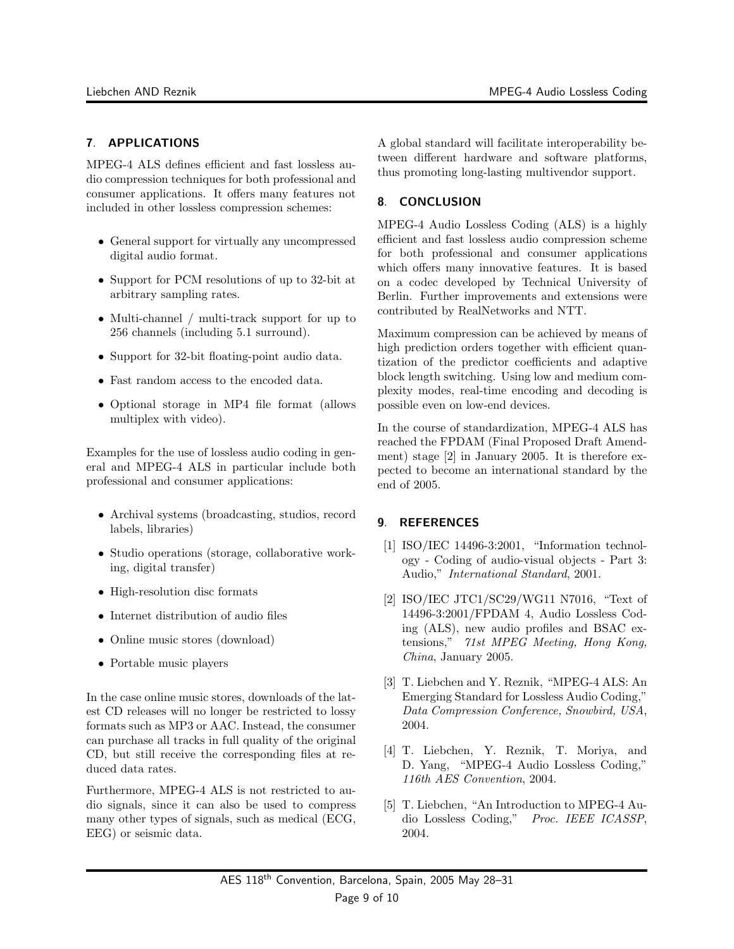# 7. APPLICATIONS

MPEG-4 ALS defines efficient and fast lossless audio compression techniques for both professional and consumer applications. It offers many features not included in other lossless compression schemes:

- General support for virtually any uncompressed digital audio format.
- Support for PCM resolutions of up to 32-bit at arbitrary sampling rates.
- Multi-channel / multi-track support for up to 256 channels (including 5.1 surround).
- Support for 32-bit floating-point audio data.
- Fast random access to the encoded data.
- Optional storage in MP4 file format (allows multiplex with video).

Examples for the use of lossless audio coding in general and MPEG-4 ALS in particular include both professional and consumer applications:

- Archival systems (broadcasting, studios, record labels, libraries)
- Studio operations (storage, collaborative working, digital transfer)
- High-resolution disc formats
- Internet distribution of audio files
- Online music stores (download)
- Portable music players

In the case online music stores, downloads of the latest CD releases will no longer be restricted to lossy formats such as MP3 or AAC. Instead, the consumer can purchase all tracks in full quality of the original CD, but still receive the corresponding files at reduced data rates.

Furthermore, MPEG-4 ALS is not restricted to audio signals, since it can also be used to compress many other types of signals, such as medical (ECG, EEG) or seismic data.

A global standard will facilitate interoperability between different hardware and software platforms, thus promoting long-lasting multivendor support.

# 8. CONCLUSION

MPEG-4 Audio Lossless Coding (ALS) is a highly efficient and fast lossless audio compression scheme for both professional and consumer applications which offers many innovative features. It is based on a codec developed by Technical University of Berlin. Further improvements and extensions were contributed by RealNetworks and NTT.

Maximum compression can be achieved by means of high prediction orders together with efficient quantization of the predictor coefficients and adaptive block length switching. Using low and medium complexity modes, real-time encoding and decoding is possible even on low-end devices.

In the course of standardization, MPEG-4 ALS has reached the FPDAM (Final Proposed Draft Amendment) stage [2] in January 2005. It is therefore expected to become an international standard by the end of 2005.

# 9. REFERENCES

- [1] ISO/IEC 14496-3:2001, "Information technology - Coding of audio-visual objects - Part 3: Audio," International Standard, 2001.
- [2] ISO/IEC JTC1/SC29/WG11 N7016, "Text of 14496-3:2001/FPDAM 4, Audio Lossless Coding (ALS), new audio profiles and BSAC extensions," 71st MPEG Meeting, Hong Kong, China, January 2005.
- [3] T. Liebchen and Y. Reznik, "MPEG-4 ALS: An Emerging Standard for Lossless Audio Coding," Data Compression Conference, Snowbird, USA, 2004.
- [4] T. Liebchen, Y. Reznik, T. Moriya, and D. Yang, "MPEG-4 Audio Lossless Coding," 116th AES Convention, 2004.
- [5] T. Liebchen, "An Introduction to MPEG-4 Audio Lossless Coding," Proc. IEEE ICASSP, 2004.